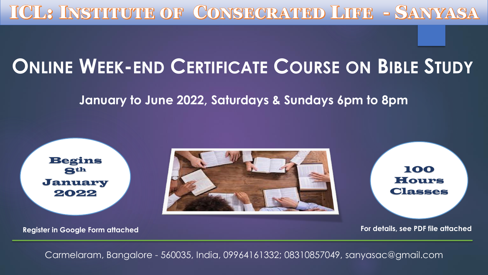ICL? INSTITUTE OF CONSECRATED LIFE - SANYASA

## **ONLINE WEEK-END CERTIFICATE COURSE ON BIBLE STUDY**

**January to June 2022, Saturdays & Sundays 6pm to 8pm**

Begins 8th January 2022



100 Hours Classes

**Register in Google Form attached Register in Google Form attached For details, see PDF file attached** 

Carmelaram, Bangalore - 560035, India, 09964161332; 08310857049, sanyasac@gmail.com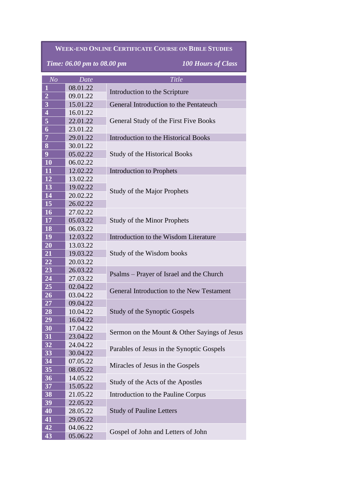## **WEEK-END ONLINE CERTIFICATE COURSE ON BIBLE STUDIES**

*Time: 06.00 pm to 08.00 pm 100 Hours of Class*

| N <sub>O</sub>                       | Date     | Title                                        |
|--------------------------------------|----------|----------------------------------------------|
| $\mathbf{1}$                         | 08.01.22 | Introduction to the Scripture                |
| $\frac{2}{3}$                        | 09.01.22 |                                              |
|                                      | 15.01.22 | General Introduction to the Pentateuch       |
| $\overline{\mathbf{4}}$              | 16.01.22 | General Study of the First Five Books        |
| $\overline{\overline{\overline{5}}}$ | 22.01.22 |                                              |
| $\boldsymbol{6}$                     | 23.01.22 |                                              |
| $\overline{7}$                       | 29.01.22 | Introduction to the Historical Books         |
| 8                                    | 30.01.22 |                                              |
| $\overline{9}$                       | 05.02.22 | <b>Study of the Historical Books</b>         |
| 10                                   | 06.02.22 |                                              |
| 11                                   | 12.02.22 | <b>Introduction to Prophets</b>              |
| 12                                   | 13.02.22 | <b>Study of the Major Prophets</b>           |
| 13                                   | 19.02.22 |                                              |
| 14                                   | 20.02.22 |                                              |
| 15                                   | 26.02.22 |                                              |
| 16                                   | 27.02.22 | <b>Study of the Minor Prophets</b>           |
| 17                                   | 05.03.22 |                                              |
| 18                                   | 06.03.22 |                                              |
| 19                                   | 12.03.22 | Introduction to the Wisdom Literature        |
| 20                                   | 13.03.22 | Study of the Wisdom books                    |
| 21                                   | 19.03.22 |                                              |
| <b>22</b>                            | 20.03.22 |                                              |
| 23                                   | 26.03.22 | Psalms – Prayer of Israel and the Church     |
| 24                                   | 27.03.22 |                                              |
| $\overline{25}$                      | 02.04.22 | General Introduction to the New Testament    |
| 26                                   | 03.04.22 |                                              |
| <b>27</b>                            | 09.04.22 | Study of the Synoptic Gospels                |
| 28                                   | 10.04.22 |                                              |
| 29                                   | 16.04.22 |                                              |
| 30                                   | 17.04.22 | Sermon on the Mount & Other Sayings of Jesus |
| 31                                   | 23.04.22 |                                              |
| 32                                   | 24.04.22 | Parables of Jesus in the Synoptic Gospels    |
| 33                                   | 30.04.22 |                                              |
| 34                                   | 07.05.22 | Miracles of Jesus in the Gospels             |
| 35                                   | 08.05.22 |                                              |
| 36                                   | 14.05.22 | Study of the Acts of the Apostles            |
| 37                                   | 15.05.22 |                                              |
| 38                                   | 21.05.22 | Introduction to the Pauline Corpus           |
| 39                                   | 22.05.22 | <b>Study of Pauline Letters</b>              |
| 40                                   | 28.05.22 |                                              |
| 41                                   | 29.05.22 |                                              |
| 42                                   | 04.06.22 | Gospel of John and Letters of John           |
| 43                                   | 05.06.22 |                                              |